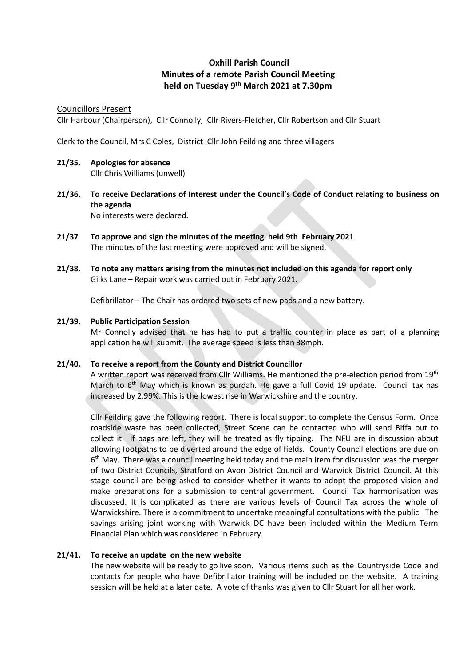# **Oxhill Parish Council Minutes of a remote Parish Council Meeting held on Tuesday 9 th March 2021 at 7.30pm**

### Councillors Present

Cllr Harbour (Chairperson), Cllr Connolly, Cllr Rivers-Fletcher, Cllr Robertson and Cllr Stuart

Clerk to the Council, Mrs C Coles, District Cllr John Feilding and three villagers

# **21/35. Apologies for absence**

Cllr Chris Williams (unwell)

**21/36. To receive Declarations of Interest under the Council's Code of Conduct relating to business on the agenda**

No interests were declared.

- **21/37 To approve and sign the minutes of the meeting held 9th February 2021** The minutes of the last meeting were approved and will be signed.
- **21/38. To note any matters arising from the minutes not included on this agenda for report only** Gilks Lane – Repair work was carried out in February 2021.

Defibrillator – The Chair has ordered two sets of new pads and a new battery.

### **21/39. Public Participation Session**

Mr Connolly advised that he has had to put a traffic counter in place as part of a planning application he will submit. The average speed is less than 38mph.

## **21/40. To receive a report from the County and District Councillor**

A written report was received from Cllr Williams. He mentioned the pre-election period from 19<sup>th</sup> March to 6<sup>th</sup> May which is known as purdah. He gave a full Covid 19 update. Council tax has increased by 2.99%. This is the lowest rise in Warwickshire and the country.

Cllr Feilding gave the following report. There is local support to complete the Census Form. Once roadside waste has been collected, Street Scene can be contacted who will send Biffa out to collect it. If bags are left, they will be treated as fly tipping. The NFU are in discussion about allowing footpaths to be diverted around the edge of fields. County Council elections are due on 6<sup>th</sup> May. There was a council meeting held today and the main item for discussion was the merger of two District Councils, Stratford on Avon District Council and Warwick District Council. At this stage council are being asked to consider whether it wants to adopt the proposed vision and make preparations for a submission to central government. Council Tax harmonisation was discussed. It is complicated as there are various levels of Council Tax across the whole of Warwickshire. There is a commitment to undertake meaningful consultations with the public. The savings arising joint working with Warwick DC have been included within the Medium Term Financial Plan which was considered in February.

## **21/41. To receive an update on the new website**

The new website will be ready to go live soon. Various items such as the Countryside Code and contacts for people who have Defibrillator training will be included on the website. A training session will be held at a later date. A vote of thanks was given to Cllr Stuart for all her work.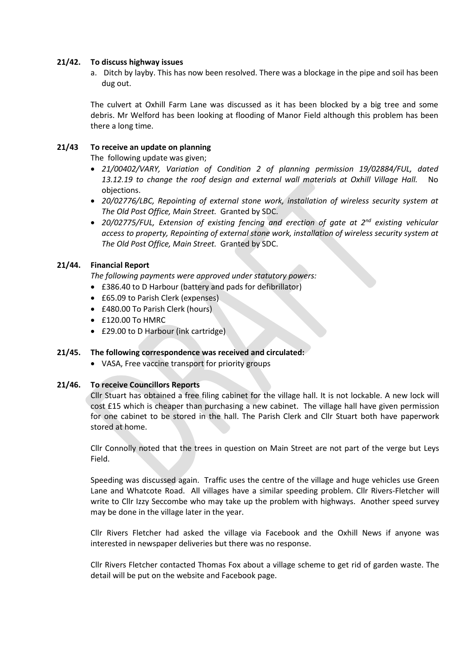#### **21/42. To discuss highway issues**

a. Ditch by layby. This has now been resolved. There was a blockage in the pipe and soil has been dug out.

The culvert at Oxhill Farm Lane was discussed as it has been blocked by a big tree and some debris. Mr Welford has been looking at flooding of Manor Field although this problem has been there a long time.

#### **21/43 To receive an update on planning**

The following update was given;

- *21/00402/VARY, Variation of Condition 2 of planning permission 19/02884/FUL, dated 13.12.19 to change the roof design and external wall materials at Oxhill Village Hall.* No objections.
- *20/02776/LBC, Repointing of external stone work, installation of wireless security system at The Old Post Office, Main Street.* Granted by SDC.
- *20/02775/FUL, Extension of existing fencing and erection of gate at 2nd existing vehicular access to property, Repointing of external stone work, installation of wireless security system at The Old Post Office, Main Street.* Granted by SDC.

### **21/44. Financial Report**

*The following payments were approved under statutory powers:*

- £386.40 to D Harbour (battery and pads for defibrillator)
- £65.09 to Parish Clerk (expenses)
- £480.00 To Parish Clerk (hours)
- £120.00 To HMRC
- £29.00 to D Harbour (ink cartridge)

#### **21/45. The following correspondence was received and circulated:**

• VASA, Free vaccine transport for priority groups

#### **21/46. To receive Councillors Reports**

Cllr Stuart has obtained a free filing cabinet for the village hall. It is not lockable. A new lock will cost £15 which is cheaper than purchasing a new cabinet. The village hall have given permission for one cabinet to be stored in the hall. The Parish Clerk and Cllr Stuart both have paperwork stored at home.

Cllr Connolly noted that the trees in question on Main Street are not part of the verge but Leys Field.

Speeding was discussed again. Traffic uses the centre of the village and huge vehicles use Green Lane and Whatcote Road. All villages have a similar speeding problem. Cllr Rivers-Fletcher will write to Cllr Izzy Seccombe who may take up the problem with highways. Another speed survey may be done in the village later in the year.

Cllr Rivers Fletcher had asked the village via Facebook and the Oxhill News if anyone was interested in newspaper deliveries but there was no response.

Cllr Rivers Fletcher contacted Thomas Fox about a village scheme to get rid of garden waste. The detail will be put on the website and Facebook page.